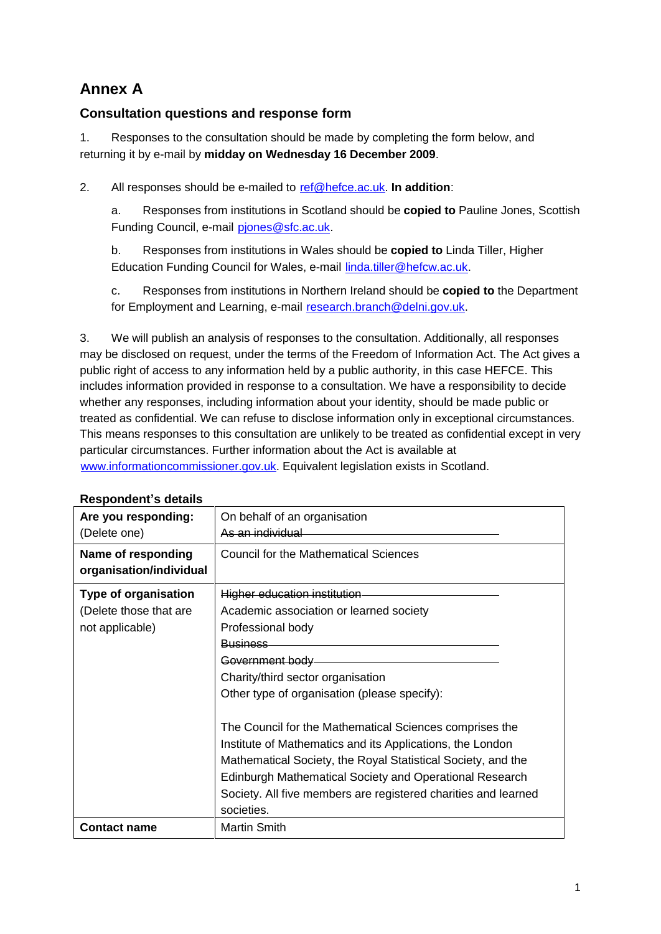# **Annex A**

## **Consultation questions and response form**

1. Responses to the consultation should be made by completing the form below, and returning it by e-mail by **midday on Wednesday 16 December 2009**.

2. All responses should be e-mailed to [ref@hefce.ac.uk.](mailto:ref@hefce.ac.uk) **In addition**:

a. Responses from institutions in Scotland should be **copied to** Pauline Jones, Scottish Funding Council, e-mail piones@sfc.ac.uk.

b. Responses from institutions in Wales should be **copied to** Linda Tiller, Higher Education Funding Council for Wales, e-mail [linda.tiller@hefcw.ac.uk.](mailto:linda.tiller@hefcw.ac.uk)

c. Responses from institutions in Northern Ireland should be **copied to** the Department for Employment and Learning, e-mail [research.branch@delni.gov.uk.](mailto:research.branch@delni.gov.uk)

3. We will publish an analysis of responses to the consultation. Additionally, all responses may be disclosed on request, under the terms of the Freedom of Information Act.The Act gives a public right of access to any information held by a public authority, in this case HEFCE. This includes information provided in response to a consultation. We have a responsibility to decide whether any responses, including information about your identity, should be made public or treated as confidential. We can refuse to disclose information only in exceptional circumstances. This means responses to this consultation are unlikely to be treated as confidential except in very particular circumstances. Further information about the Act is available at [www.informationcommissioner.gov.uk.](http://www.informationcommissioner.gov.uk/) Equivalent legislation exists in Scotland. **Respondentí<sup>s</sup> details**

| Are you responding:<br>(Delete one)                                      | On behalf of an organisation<br>As an individual                                                                                                                                                                                                                                                                                                                                                                                                                                                                                                           |
|--------------------------------------------------------------------------|------------------------------------------------------------------------------------------------------------------------------------------------------------------------------------------------------------------------------------------------------------------------------------------------------------------------------------------------------------------------------------------------------------------------------------------------------------------------------------------------------------------------------------------------------------|
| Name of responding<br>organisation/individual                            | <b>Council for the Mathematical Sciences</b>                                                                                                                                                                                                                                                                                                                                                                                                                                                                                                               |
| <b>Type of organisation</b><br>(Delete those that are<br>not applicable) | Higher education institution<br>Academic association or learned society<br>Professional body<br><b>Business</b><br>Government body<br>Charity/third sector organisation<br>Other type of organisation (please specify):<br>The Council for the Mathematical Sciences comprises the<br>Institute of Mathematics and its Applications, the London<br>Mathematical Society, the Royal Statistical Society, and the<br>Edinburgh Mathematical Society and Operational Research<br>Society. All five members are registered charities and learned<br>societies. |
| <b>Contact name</b>                                                      | <b>Martin Smith</b>                                                                                                                                                                                                                                                                                                                                                                                                                                                                                                                                        |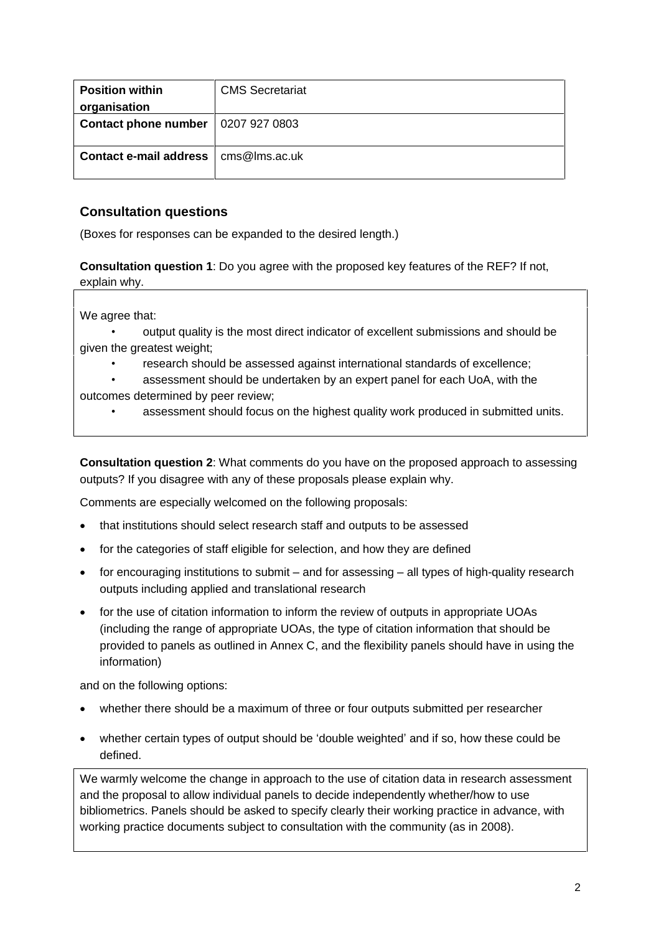| <b>Position within</b><br>organisation | <b>CMS Secretariat</b> |
|----------------------------------------|------------------------|
| <b>Contact phone number</b>            | 0207 927 0803          |
| Contact e-mail address                 | cms@lms.ac.uk          |

### **Consultation questions**

(Boxes for responses can be expanded to the desired length.)

**Consultation question 1**: Do you agree with the proposed key features of the REF? If not, explain why.

We agree that:

- output quality is the most direct indicator of excellent submissions and should be given the greatest weight;
	- research should be assessed against international standards of excellence;
- assessment should be undertaken by an expert panel for each UoA, with the outcomes determined by peer review;
	- assessment should focus on the highest quality work produced in submitted units.

**Consultation question 2**: What comments do you have on the proposed approach to assessing outputs? If you disagree with any of these proposals please explain why.

Comments are especially welcomed on the following proposals:

- that institutions should select research staff and outputs to be assessed  $\overline{\phantom{a}}$
- for the categories of staff eligible for selection, and how they are defined
- $\bullet$  for encouraging institutions to submit  $-$  and for assessing  $-$  all types of high-quality research outputs including applied and translational research
- for the use of citation information to inform the review of outputs in appropriate UOAs (including the range of appropriate UOAs, the type of citation information that should be provided to panels as outlined in Annex C, and the flexibility panels should have in using the information)

and on the following options:

- whether there should be a maximum of three or four outputs submitted per researcher
- whether certain types of output should be 'double weighted' and if so, how these could be defined.

We warmly welcome the change in approach to the use of citation data in research assessment and the proposal to allow individual panels to decide independently whether/how to use bibliometrics. Panels should be asked to specify clearly their working practice in advance, with working practice documents subject to consultation with the community (as in 2008).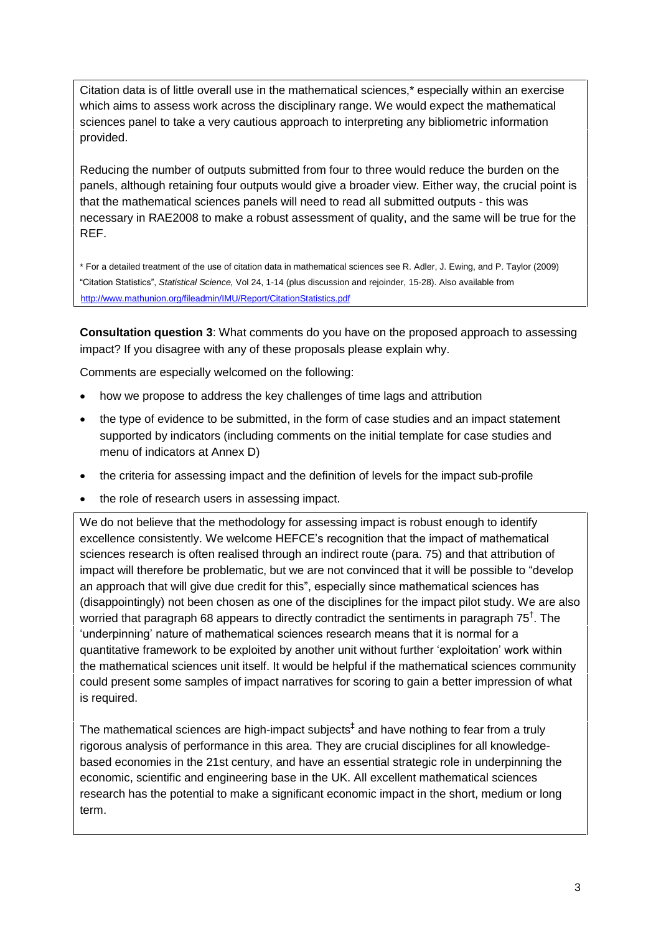Citation data is of little overall use in the mathematical sciences,\* especially within an exercise which aims to assess work across the disciplinary range. We would expect the mathematical sciences panel to take a very cautious approach to interpreting any bibliometric information provided.

Reducing the number of outputs submitted from four to three would reduce the burden on the panels, although retaining four outputs would give a broader view. Either way, the crucial point is that the mathematical sciences panels will need to read all submitted outputs - this was necessary in RAE2008 to make a robust assessment of quality, and the same will be true for the REF.

\* For a detailed treatment of the use of citation data in mathematical sciences see R. Adler, J. Ewing, and P. Taylor (2009)<br>"Citation Statistics", *Statistical Science,* Vol 24, 1-14 (plus discussion and rejoinder, 15-28) <http://www.mathunion.org/fileadmin/IMU/Report/CitationStatistics.pdf>

**Consultation question 3**: What comments do you have on the proposed approach to assessing impact? If you disagree with any of these proposals please explain why.

Comments are especially welcomed on the following:

- how we propose to address the key challenges of time lags and attribution  $\overline{\phantom{a}}$
- the type of evidence to be submitted, in the form of case studies and an impact statement supported by indicators (including comments on the initial template for case studies and menu of indicators at Annex D)
- the criteria for assessing impact and the definition of levels for the impact sub-profile  $\overline{a}$
- the role of research users in assessing impact.

We do not believe that the methodology for assessing impact is robust enough to identify excellence of recedrent decreating impact.<br>We do not believe that the methodology for assessing impact is robust enough to identify<br>excellence consistently. We welcome HEFCE's recognition that the impact of mathematical sciences research is often realised through an indirect route (para. 75) and that attribution of excellence consistently. We welcome HEFCE's recognition that the impact of mathematical<br>sciences research is often realised through an indirect route (para. 75) and that attribution of<br>impact will therefore be problematic, sciences research is often realised through an indirect route (para. 75) and that attribution of<br>impact will therefore be problematic, but we are not convinced that it will be possible to "develop<br>an approach that will giv (disappointingly) not been chosen as one of the disciplines for the impact pilot study. We are also  $|$ worried that paragraph 68 appears to directly contradict the sentiments in paragraph 75<sup>T</sup>. The  $\hskip1cm \Box$ an approach that will give due credit for this", especially since mathematical sciences has y) not been chosen as one of the disciplines for the impact pilot study. We are al<br>ragraph 68 appears to directly contradict the sentiments in paragraph 75<sup>†</sup>. The<br>nature of mathematical sciences research means that it is 'underpinning' nature of mathematical sciences research means that it is normal for a<br>quantitative framework to be exploited by another unit without further 'exploitation' work within the mathematical sciences unit itself. It would be helpful if the mathematical sciences community could present some samples of impact narratives for scoring to gain a better impression of what is required.

The mathematical sciences are high-impact subjects<sup>+</sup> and have nothing to fear from a truly  $\qquad \qquad \mid$ rigorous analysis of performance in this area. They are crucial disciplines for all knowledge based economies in the 21st century, and have an essential strategic role in underpinning the economic, scientific and engineering base in the UK. All excellent mathematical sciences research has the potential to make a significant economic impact in the short, medium or long term.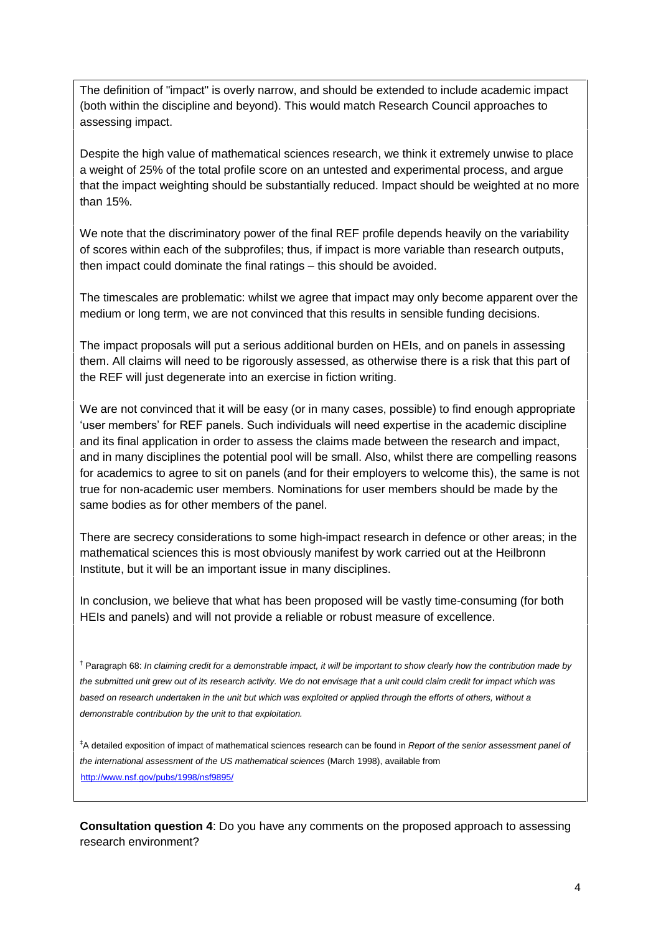The definition of "impact" is overly narrow, and should be extended to include academic impact (both within the discipline and beyond). This would match Research Council approaches to assessing impact.

Despite the high value of mathematical sciences research, we think it extremely unwise to place a weight of 25% of the total profile score on an untested and experimental process, and argue that the impact weighting should be substantially reduced. Impact should be weighted at no more than 15%.

We note that the discriminatory power of the final REF profile depends heavily on the variability of scores within each of the subprofiles; thus, if impact is more variable than research outputs, We note that the discriminatory power of the final REF profile depends he:<br>of scores within each of the subprofiles; thus, if impact is more variable tha<br>then impact could dominate the final ratings – this should be avoide

The timescales are problematic: whilst we agree that impact may only become apparent over the medium or long term, we are not convinced that this results in sensible funding decisions.

The impact proposals will put a serious additional burden on HEIs, and on panels in assessing them. All claims will need to be rigorously assessed, as otherwise there is a risk that this part of the REF will just degenerate into an exercise in fiction writing.

We are not convinced that it will be easy (or in many cases, possible) to find enough appropriate  $\vert$ re not convinced that it will be easy (or in many cases, possible) to find enough appropriate  $\bigg|$ <br>members' for REF panels. Such individuals will need expertise in the academic discipline and its final application in order to assess the claims made between the research and impact, and in many disciplines the potential pool will be small. Also, whilst there are compelling reasons for academics to agree to sit on panels (and for their employers to welcome this), the same is not true for non-academic user members. Nominations for user members should be made by the same bodies as for other members of the panel.

There are secrecy considerations to some high-impact research in defence or other areas; in the mathematical sciences this is most obviously manifest by work carried out at the Heilbronn Institute, but it will be an important issue in many disciplines.

In conclusion, we believe that what has been proposed will be vastly time-consuming (for both HEIs and panels) and will not provide a reliable or robust measure of excellence.

<sup>†</sup> Paragraph 68: In claiming credit for a demonstrable impact, it will be important to show clearly how the contribution made by the submitted unit grew out of its research activity. We do not envisage that a unit could claim credit for impact which was based on research undertaken in the unit but which was exploited or applied through the efforts of others, without a demonstrable contribution by the unit to that exploitation.

<sup>‡</sup>A detailed exposition of impact of mathematical sciences research can be found in Report of the senior assessment panel of the international assessment of the US mathematical sciences (March 1998), available from <http://www.nsf.gov/pubs/1998/nsf9895/>

**Consultation question 4**: Do you have any comments on the proposed approach to assessing research environment?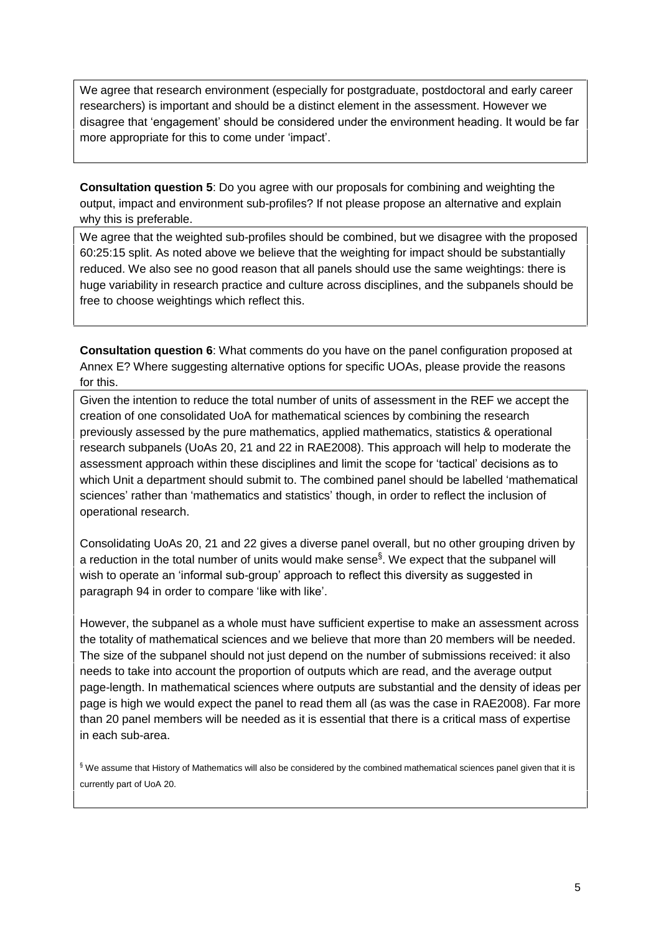We agree that research environment (especially for postgraduate, postdoctoral and early career researchers) is important and should be a distinct element in the assessment. However we We agree that research environment (especially for postgraduate, postdoctoral and early career<br>researchers) is important and should be a distinct element in the assessment. However we<br>disagree that 'engagement' should be c researchers) is important and should be a distinct ele<br>disagree that 'engagement' should be considered und<br>more appropriate for this to come under 'impact'.

**Consultation question 5**: Do you agree with our proposals for combining and weighting the output, impact and environment sub-profiles? If not please propose an alternative and explain why this is preferable.

We agree that the weighted sub-profiles should be combined, but we disagree with the proposed 60:25:15 split. As noted above we believe that the weighting for impact should be substantially reduced. We also see no good reason that all panels should use the same weightings: there is huge variability in research practice and culture across disciplines, and the subpanels should be free to choose weightings which reflect this.

**Consultation question 6**: What comments do you have on the panel configuration proposed at Annex E? Where suggesting alternative options for specific UOAs, please provide the reasons for this.

Given the intention to reduce the total number of units of assessment in the REF we accept the creation of one consolidated UoA for mathematical sciences by combining the research previously assessed by the pure mathematics, applied mathematics, statistics & operational research subpanels (UoAs 20, 21 and 22 in RAE2008). This approach will help to moderate the previously assessed by the pure mathematics, applied mathematics, statistics & operational<br>research subpanels (UoAs 20, 21 and 22 in RAE2008). This approach will help to moderate the<br>assessment approach within these discip assessment approach within these disciplines and limit the scope for 'tactical' decisions as to<br>which Unit a department should submit to. The combined panel should be labelled 'mathematical sciences' rather than 'mathematics and statistics' though, in order to reflect the inclusion of operational research.

Consolidating UoAs 20,21 and 22 gives a diverse panel overall, but no other grouping driven by ßa reduction in the total number of units would make sense . We expect that the subpanel will Consolidating UoAs 20, 21 and 22 gives a diverse panel overall, but no other grouping driven by<br>a reduction in the total number of units would make sense<sup>§</sup>. We expect that the subpanel will<br>wish to operate an 'informal su wish to operate an 'informal sub-group' approach to reflect this diversity as suggested in paragraph 94 in order to compare 'like with like'.

However, the subpanel as a whole must have sufficient expertise to make an assessment across the totality of mathematical sciences and we believe that more than 20 members will be needed. The size of the subpanel should not just depend on the number of submissions received: it also needs to take into account the proportion of outputs which are read, and the average output page-length. In mathematical sciences where outputs are substantial and the density of ideas per page is high we would expect the panel to read them all (as was the case in RAE2008). Far more than 20 panel members will be needed as it is essential that there is a critical mass of expertise in each sub-area.

 $$$  We assume that History of Mathematics will also be considered by the combined mathematical sciences panel given that it is currently part of UoA 20.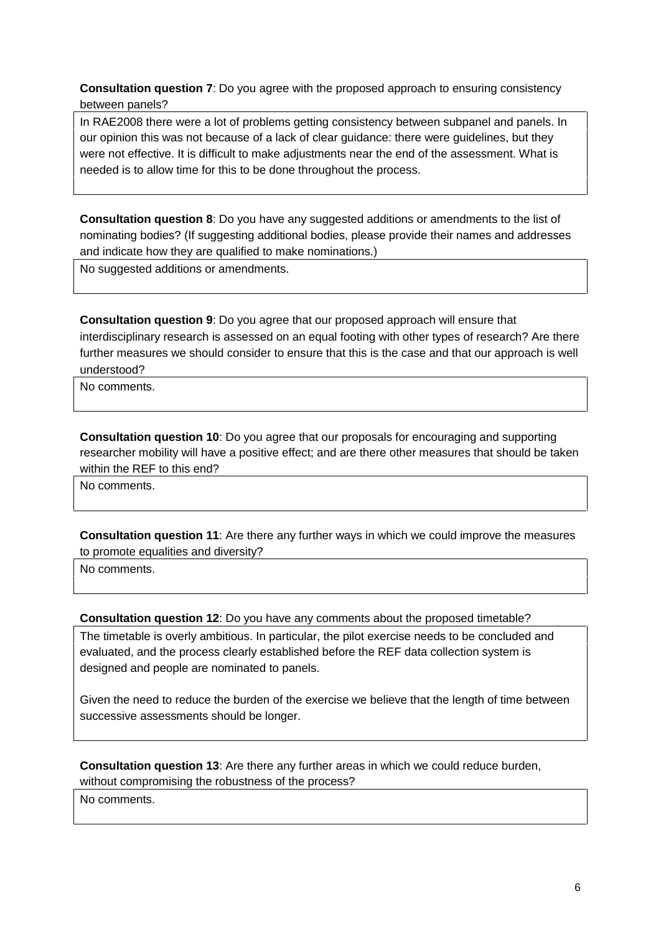**Consultation question 7**: Do you agree with the proposed approach to ensuring consistency between panels?

In RAE2008 there were a lot of problems getting consistency between subpanel and panels. In our opinion this was not because of a lack of clear guidance: there were guidelines, but they were not effective. It is difficult to make adjustments near the end of the assessment. What is needed is to allow time for this to be done throughout the process.

**Consultation question 8:** Do you have any suggested additions or amendments to the list of nominating bodies? (If suggesting additional bodies, please provide their names and addresses and indicate how they are qualified to make nominations.)

No suggested additions or amendments.

**Consultation question 9**: Do you agree that our proposed approach will ensure that interdisciplinary research is assessed on an equal footing with other types of research? Are there further measures we should consider to ensure that this is the case and that our approach is well understood?

No comments.

**Consultation question 10**: Do you agree that our proposals for encouraging and supporting researcher mobility will have a positive effect; and are there other measures that should be taken within the REF to this end?

No comments.

**Consultation question 11**: Are there any further ways in which we could improve the measures to promote equalities and diversity?

No comments.

**Consultation question 12**: Do you have any comments about the proposed timetable?

The timetable is overly ambitious. In particular, the pilot exercise needs to be concluded and evaluated, and the process clearly established before the REF data collection system is designed and people are nominated to panels.

Given the need to reduce the burden of the exercise we believe that the length of time between successive assessments should be longer.

**Consultation question 13**: Are there any further areas in which we could reduce burden, without compromising the robustness of the process?

No comments.